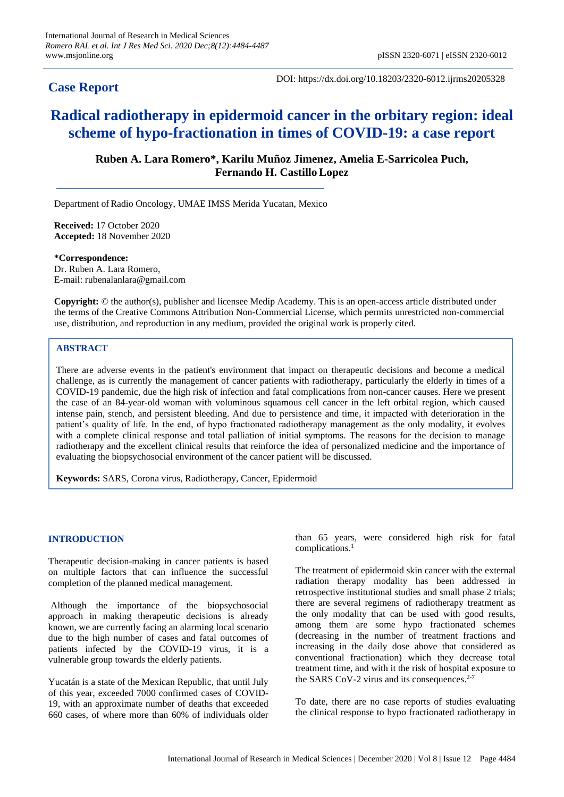# **Case Report**

DOI: https://dx.doi.org/10.18203/2320-6012.ijrms20205328

# **Radical radiotherapy in epidermoid cancer in the orbitary region: ideal scheme of hypo-fractionation in times of COVID-19: a case report**

**Ruben A. Lara Romero\*, Karilu Muñoz Jimenez, Amelia E-Sarricolea Puch, Fernando H. CastilloLopez**

Department of Radio Oncology, UMAE IMSS Merida Yucatan, Mexico

**Received:** 17 October 2020 **Accepted:** 18 November 2020

**\*Correspondence:** Dr. Ruben A. Lara Romero, E-mail: rubenalanlara@gmail.com

**Copyright:** © the author(s), publisher and licensee Medip Academy. This is an open-access article distributed under the terms of the Creative Commons Attribution Non-Commercial License, which permits unrestricted non-commercial use, distribution, and reproduction in any medium, provided the original work is properly cited.

# **ABSTRACT**

There are adverse events in the patient's environment that impact on therapeutic decisions and become a medical challenge, as is currently the management of cancer patients with radiotherapy, particularly the elderly in times of a COVID-19 pandemic, due the high risk of infection and fatal complications from non-cancer causes. Here we present the case of an 84-year-old woman with voluminous squamous cell cancer in the left orbital region, which caused intense pain, stench, and persistent bleeding. And due to persistence and time, it impacted with deterioration in the patient's quality of life. In the end, of hypo fractionated radiotherapy management as the only modality, it evolves with a complete clinical response and total palliation of initial symptoms. The reasons for the decision to manage radiotherapy and the excellent clinical results that reinforce the idea of personalized medicine and the importance of evaluating the biopsychosocial environment of the cancer patient will be discussed.

**Keywords:** SARS, Corona virus, Radiotherapy, Cancer, Epidermoid

## **INTRODUCTION**

Therapeutic decision-making in cancer patients is based on multiple factors that can influence the successful completion of the planned medical management.

Although the importance of the biopsychosocial approach in making therapeutic decisions is already known, we are currently facing an alarming local scenario due to the high number of cases and fatal outcomes of patients infected by the COVID-19 virus, it is a vulnerable group towards the elderly patients.

Yucatán is a state of the Mexican Republic, that until July of this year, exceeded 7000 confirmed cases of COVID-19, with an approximate number of deaths that exceeded 660 cases, of where more than 60% of individuals older

than 65 years, were considered high risk for fatal complications.<sup>1</sup>

The treatment of epidermoid skin cancer with the external radiation therapy modality has been addressed in retrospective institutional studies and small phase 2 trials; there are several regimens of radiotherapy treatment as the only modality that can be used with good results, among them are some hypo fractionated schemes (decreasing in the number of treatment fractions and increasing in the daily dose above that considered as conventional fractionation) which they decrease total treatment time, and with it the risk of hospital exposure to the SARS CoV-2 virus and its consequences.<sup>2-7</sup>

To date, there are no case reports of studies evaluating the clinical response to hypo fractionated radiotherapy in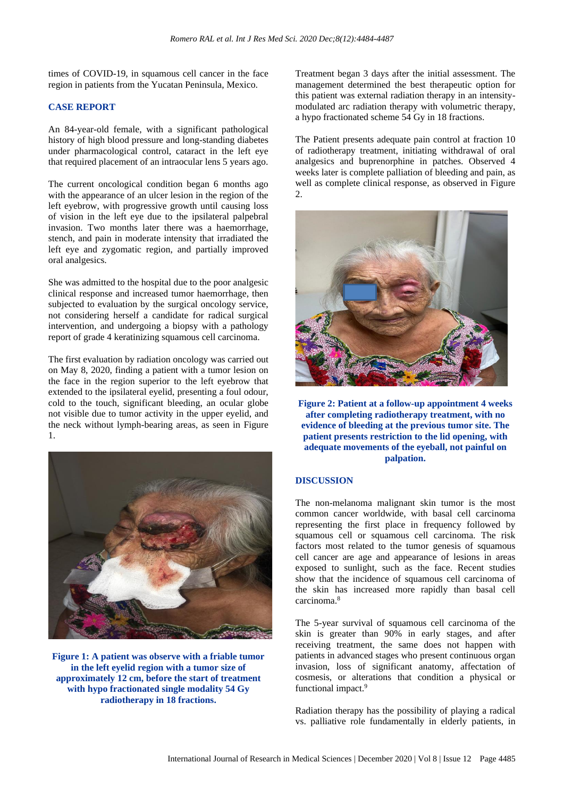times of COVID-19, in squamous cell cancer in the face region in patients from the Yucatan Peninsula, Mexico.

#### **CASE REPORT**

An 84-year-old female, with a significant pathological history of high blood pressure and long-standing diabetes under pharmacological control, cataract in the left eye that required placement of an intraocular lens 5 years ago.

The current oncological condition began 6 months ago with the appearance of an ulcer lesion in the region of the left eyebrow, with progressive growth until causing loss of vision in the left eye due to the ipsilateral palpebral invasion. Two months later there was a haemorrhage, stench, and pain in moderate intensity that irradiated the left eye and zygomatic region, and partially improved oral analgesics.

She was admitted to the hospital due to the poor analgesic clinical response and increased tumor haemorrhage, then subjected to evaluation by the surgical oncology service, not considering herself a candidate for radical surgical intervention, and undergoing a biopsy with a pathology report of grade 4 keratinizing squamous cell carcinoma.

The first evaluation by radiation oncology was carried out on May 8, 2020, finding a patient with a tumor lesion on the face in the region superior to the left eyebrow that extended to the ipsilateral eyelid, presenting a foul odour, cold to the touch, significant bleeding, an ocular globe not visible due to tumor activity in the upper eyelid, and the neck without lymph-bearing areas, as seen in Figure 1.



**Figure 1: A patient was observe with a friable tumor in the left eyelid region with a tumor size of approximately 12 cm, before the start of treatment with hypo fractionated single modality 54 Gy radiotherapy in 18 fractions.**

Treatment began 3 days after the initial assessment. The management determined the best therapeutic option for this patient was external radiation therapy in an intensitymodulated arc radiation therapy with volumetric therapy, a hypo fractionated scheme 54 Gy in 18 fractions.

The Patient presents adequate pain control at fraction 10 of radiotherapy treatment, initiating withdrawal of oral analgesics and buprenorphine in patches. Observed 4 weeks later is complete palliation of bleeding and pain, as well as complete clinical response, as observed in Figure  $2.5$ 



**Figure 2: Patient at a follow-up appointment 4 weeks after completing radiotherapy treatment, with no evidence of bleeding at the previous tumor site. The patient presents restriction to the lid opening, with adequate movements of the eyeball, not painful on palpation.**

# **DISCUSSION**

The non-melanoma malignant skin tumor is the most common cancer worldwide, with basal cell carcinoma representing the first place in frequency followed by squamous cell or squamous cell carcinoma. The risk factors most related to the tumor genesis of squamous cell cancer are age and appearance of lesions in areas exposed to sunlight, such as the face. Recent studies show that the incidence of squamous cell carcinoma of the skin has increased more rapidly than basal cell carcinoma.<sup>8</sup>

The 5-year survival of squamous cell carcinoma of the skin is greater than 90% in early stages, and after receiving treatment, the same does not happen with patients in advanced stages who present continuous organ invasion, loss of significant anatomy, affectation of cosmesis, or alterations that condition a physical or functional impact.<sup>9</sup>

Radiation therapy has the possibility of playing a radical vs. palliative role fundamentally in elderly patients, in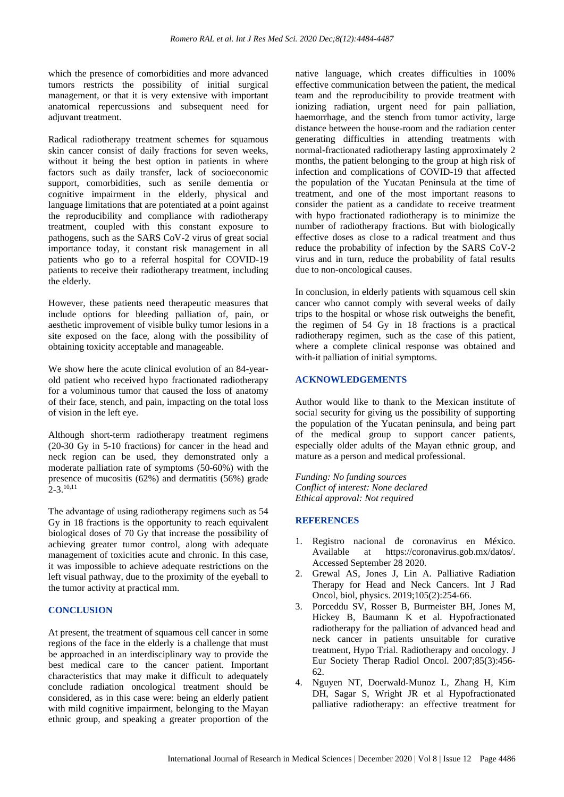which the presence of comorbidities and more advanced tumors restricts the possibility of initial surgical management, or that it is very extensive with important anatomical repercussions and subsequent need for adjuvant treatment.

Radical radiotherapy treatment schemes for squamous skin cancer consist of daily fractions for seven weeks, without it being the best option in patients in where factors such as daily transfer, lack of socioeconomic support, comorbidities, such as senile dementia or cognitive impairment in the elderly, physical and language limitations that are potentiated at a point against the reproducibility and compliance with radiotherapy treatment, coupled with this constant exposure to pathogens, such as the SARS CoV-2 virus of great social importance today, it constant risk management in all patients who go to a referral hospital for COVID-19 patients to receive their radiotherapy treatment, including the elderly.

However, these patients need therapeutic measures that include options for bleeding palliation of, pain, or aesthetic improvement of visible bulky tumor lesions in a site exposed on the face, along with the possibility of obtaining toxicity acceptable and manageable.

We show here the acute clinical evolution of an 84-yearold patient who received hypo fractionated radiotherapy for a voluminous tumor that caused the loss of anatomy of their face, stench, and pain, impacting on the total loss of vision in the left eye.

Although short-term radiotherapy treatment regimens (20-30 Gy in 5-10 fractions) for cancer in the head and neck region can be used, they demonstrated only a moderate palliation rate of symptoms (50-60%) with the presence of mucositis (62%) and dermatitis (56%) grade 2-3.10,11

The advantage of using radiotherapy regimens such as 54 Gy in 18 fractions is the opportunity to reach equivalent biological doses of 70 Gy that increase the possibility of achieving greater tumor control, along with adequate management of toxicities acute and chronic. In this case, it was impossible to achieve adequate restrictions on the left visual pathway, due to the proximity of the eyeball to the tumor activity at practical mm.

#### **CONCLUSION**

At present, the treatment of squamous cell cancer in some regions of the face in the elderly is a challenge that must be approached in an interdisciplinary way to provide the best medical care to the cancer patient. Important characteristics that may make it difficult to adequately conclude radiation oncological treatment should be considered, as in this case were: being an elderly patient with mild cognitive impairment, belonging to the Mayan ethnic group, and speaking a greater proportion of the native language, which creates difficulties in 100% effective communication between the patient, the medical team and the reproducibility to provide treatment with ionizing radiation, urgent need for pain palliation, haemorrhage, and the stench from tumor activity, large distance between the house-room and the radiation center generating difficulties in attending treatments with normal-fractionated radiotherapy lasting approximately 2 months, the patient belonging to the group at high risk of infection and complications of COVID-19 that affected the population of the Yucatan Peninsula at the time of treatment, and one of the most important reasons to consider the patient as a candidate to receive treatment with hypo fractionated radiotherapy is to minimize the number of radiotherapy fractions. But with biologically effective doses as close to a radical treatment and thus reduce the probability of infection by the SARS CoV-2 virus and in turn, reduce the probability of fatal results due to non-oncological causes.

In conclusion, in elderly patients with squamous cell skin cancer who cannot comply with several weeks of daily trips to the hospital or whose risk outweighs the benefit, the regimen of 54 Gy in 18 fractions is a practical radiotherapy regimen, such as the case of this patient, where a complete clinical response was obtained and with-it palliation of initial symptoms.

### **ACKNOWLEDGEMENTS**

Author would like to thank to the Mexican institute of social security for giving us the possibility of supporting the population of the Yucatan peninsula, and being part of the medical group to support cancer patients, especially older adults of the Mayan ethnic group, and mature as a person and medical professional.

*Funding: No funding sources Conflict of interest: None declared Ethical approval: Not required*

#### **REFERENCES**

- 1. Registro nacional de coronavirus en México. Available at https://coronavirus.gob.mx/datos/. Accessed September 28 2020.
- 2. Grewal AS, Jones J, Lin A. Palliative Radiation Therapy for Head and Neck Cancers. Int J Rad Oncol, biol, physics. 2019;105(2):254-66.
- 3. Porceddu SV, Rosser B, Burmeister BH, Jones M, Hickey B, Baumann K et al. Hypofractionated radiotherapy for the palliation of advanced head and neck cancer in patients unsuitable for curative treatment, Hypo Trial. Radiotherapy and oncology. J Eur Society Therap Radiol Oncol. 2007;85(3):456- 62.
- 4. Nguyen NT, Doerwald-Munoz L, Zhang H, Kim DH, Sagar S, Wright JR et al Hypofractionated palliative radiotherapy: an effective treatment for